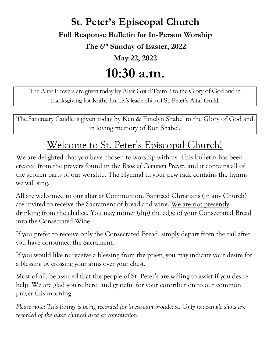# St. Peter's Episcopal Church

Full Response Bulletin for In-Person Worship

The 6<sup>th</sup> Sunday of Easter, 2022

May 22, 2022

# 10:30 a.m.

The Altar Flowers are given today by Altar Guild Team 3 to the Glory of God and in thanksgiving for Kathy Lundy's leadership of St. Peter's Altar Guild.

The Sanctuary Candle is given today by Ken & Emelyn Shabel to the Glory of God and in loving memory of Ron Shabel.

# Welcome to St. Peter's Episcopal Church!

We are delighted that you have chosen to worship with us. This bulletin has been created from the prayers found in the Book of Common Prayer, and it contains all of the spoken parts of our worship. The Hymnal in your pew rack contains the hymns we will sing.

All are welcomed to our altar at Communion. Baptized Christians (in any Church) are invited to receive the Sacrament of bread and wine. We are not presently drinking from the chalice. You may intinct (dip) the edge of your Consecrated Bread into the Consecrated Wine.

If you prefer to receive only the Consecrated Bread, simply depart from the rail after you have consumed the Sacrament.

If you would like to receive a blessing from the priest, you may indicate your desire for a blessing by crossing your arms over your chest.

Most of all, be assured that the people of St. Peter's are willing to assist if you desire help. We are glad you're here, and grateful for your contribution to our common prayer this morning!

Please note: This liturgy is being recorded for livestream broadcast. Only wide-angle shots are recorded of the altar chancel area at communion.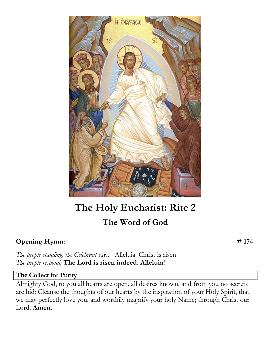

# The Holy Eucharist: Rite 2

# The Word of God

# Opening Hymn: #174

The people standing, the Celebrant says, Alleluia! Christ is risen! The people respond, The Lord is risen indeed. Alleluia!

## The Collect for Purity

Almighty God, to you all hearts are open, all desires known, and from you no secrets are hid: Cleanse the thoughts of our hearts by the inspiration of your Holy Spirit, that we may perfectly love you, and worthily magnify your holy Name; through Christ our Lord. Amen.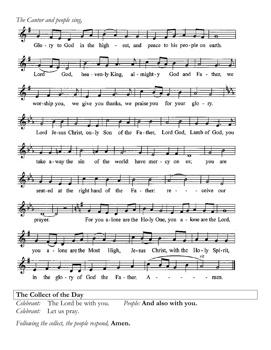

Celebrant: The Lord be with you. People: And also with you. Celebrant: Let us pray.

Following the collect, the people respond, Amen.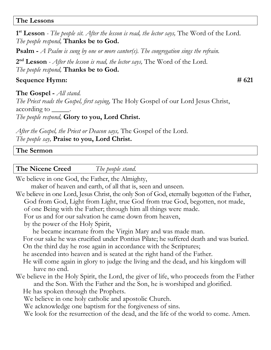### The Lessons

 $1<sup>st</sup>$  Lesson - The people sit. After the lesson is read, the lector says, The Word of the Lord. The people respond, Thanks be to God.

**Psalm -** A Psalm is sung by one or more cantor(s). The congregation sings the refrain.

 $2<sup>nd</sup> **Lesson**$  - *After the lesson is read, the lector says,* The Word of the Lord. The people respond, Thanks be to God.

## Sequence Hymn: # 621

**The Gospel** - All stand.

The Priest reads the Gospel, first saying, The Holy Gospel of our Lord Jesus Christ, according to  $\qquad$ .

The people respond, Glory to you, Lord Christ.

After the Gospel, the Priest or Deacon says, The Gospel of the Lord. The people say, Praise to you, Lord Christ.

### The Sermon

**The Nicene Creed** The people stand.

We believe in one God, the Father, the Almighty,

maker of heaven and earth, of all that is, seen and unseen.

We believe in one Lord, Jesus Christ, the only Son of God, eternally begotten of the Father, God from God, Light from Light, true God from true God, begotten, not made,

of one Being with the Father; through him all things were made.

For us and for our salvation he came down from heaven,

by the power of the Holy Spirit,

he became incarnate from the Virgin Mary and was made man.

 For our sake he was crucified under Pontius Pilate; he suffered death and was buried. On the third day he rose again in accordance with the Scriptures;

he ascended into heaven and is seated at the right hand of the Father.

- He will come again in glory to judge the living and the dead, and his kingdom will have no end.
- We believe in the Holy Spirit, the Lord, the giver of life, who proceeds from the Father and the Son. With the Father and the Son, he is worshiped and glorified.

He has spoken through the Prophets.

We believe in one holy catholic and apostolic Church.

We acknowledge one baptism for the forgiveness of sins.

We look for the resurrection of the dead, and the life of the world to come. Amen.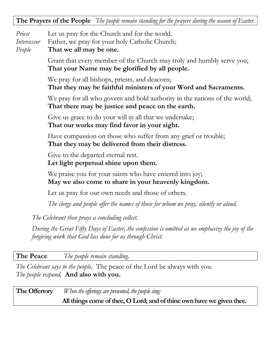### The Prayers of the People The people remain standing for the prayers during the season of Easter.

- Priest Let us pray for the Church and for the world.
- Intercessor Father, we pray for your holy Catholic Church;
- People That we all may be one.

Grant that every member of the Church may truly and humbly serve you; That your Name may be glorified by all people.

We pray for all bishops, priests, and deacons; That they may be faithful ministers of your Word and Sacraments.

We pray for all who govern and hold authority in the nations of the world; That there may be justice and peace on the earth.

Give us grace to do your will in all that we undertake; That our works may find favor in your sight.

Have compassion on those who suffer from any grief or trouble; That they may be delivered from their distress.

Give to the departed eternal rest.

Let light perpetual shine upon them.

We praise you for your saints who have entered into joy; May we also come to share in your heavenly kingdom.

Let us pray for our own needs and those of others.

The clergy and people offer the names of those for whom we pray, silently or aloud.

The Celebrant then prays a concluding collect.

During the Great Fifty Days of Easter, the confession is omitted as we emphasize the joy of the forgiving work that God has done for us through Christ.

**The Peace** The people remain standing.

The Celebrant says to the people, The peace of the Lord be always with you. The people respond, And also with you.

**The Offertory** When the offerings are presented, the people sing: All things come of thee, O Lord; and of thine own have we given thee.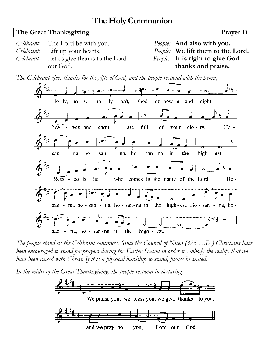# The Holy Communion



The people stand as the Celebrant continues. Since the Council of Nicea (325 A.D.) Christians have been encouraged to stand for prayers during the Easter Season in order to embody the reality that we have been raised with Christ. If it is a physical hardship to stand, please be seated.

In the midst of the Great Thanksgiving, the people respond in declaring:

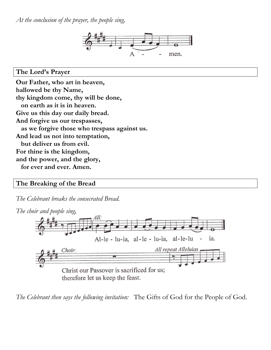At the conclusion of the prayer, the people sing,



The Lord's Prayer

Our Father, who art in heaven, hallowed be thy Name, thy kingdom come, thy will be done, on earth as it is in heaven. Give us this day our daily bread. And forgive us our trespasses, as we forgive those who trespass against us. And lead us not into temptation, but deliver us from evil. For thine is the kingdom, and the power, and the glory, for ever and ever. Amen.

## The Breaking of the Bread

The Celebrant breaks the consecrated Bread.



The Celebrant then says the following invitation: The Gifts of God for the People of God.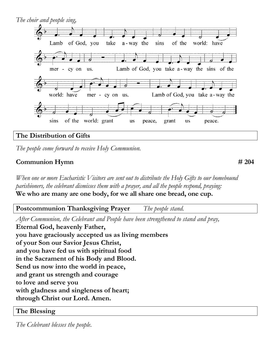

## The Distribution of Gifts

The people come forward to receive Holy Communion.

## Communion Hymn # 204

When one or more Eucharistic Visitors are sent out to distribute the Holy Gifts to our homebound parishioners, the celebrant dismisses them with a prayer, and all the people respond, praying: We who are many are one body, for we all share one bread, one cup.

Postcommunion Thanksgiving Prayer The people stand.

After Communion, the Celebrant and People have been strengthened to stand and pray, Eternal God, heavenly Father, you have graciously accepted us as living members of your Son our Savior Jesus Christ, and you have fed us with spiritual food in the Sacrament of his Body and Blood. Send us now into the world in peace, and grant us strength and courage to love and serve you with gladness and singleness of heart; through Christ our Lord. Amen.

### The Blessing

The Celebrant blesses the people.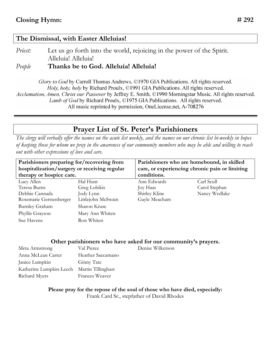### The Dismissal, with Easter Alleluias!

*Priest:* Let us go forth into the world, rejoicing in the power of the Spirit. Alleluia! Alleluia!

People Thanks be to God. Alleluia! Alleluia!

Glory to God by Carroll Thomas Andrews, ©1970 GIA Publications. All rights reserved. Holy, holy, holy by Richard Proulx, ©1991 GIA Publications. All rights reserved. Acclamation, Amen, Christ our Passover by Jeffrey E. Smith, ©1990 Morningstar Music. All rights reserved. Lamb of God by Richard Proulx, ©1975 GIA Publications. All rights reserved. All music reprinted by permission, OneLicense.net, A-708276

# Prayer List of St. Peter's Parishioners

The clergy will verbally offer the names on the acute list weekly, and the names on our chronic list bi-weekly in hopes of keeping those for whom we pray in the awareness of our community members who may be able and willing to reach out with other expressions of love and care.

| Parishioners preparing for/recovering from   |                    | Parishioners who are homebound, in skilled     |               |
|----------------------------------------------|--------------------|------------------------------------------------|---------------|
| hospitalization/surgery or receiving regular |                    | care, or experiencing chronic pain or limiting |               |
| therapy or hospice care.                     |                    | conditions.                                    |               |
| Lucy Allen                                   | Hal Hunt           | Ann Edwards                                    | Carl Scull    |
| Teresa Burns                                 | Greg Lobikis       | Joy Haas                                       | Carol Stephan |
| Debbie Cannada                               | Jody Lynn          | Shirley Kline                                  | Nancy Wedlake |
| Rosemarie Gerstenberger                      | Littlejohn McSwain | Gayle Meacham                                  |               |
| <b>Burnley Graham</b>                        | Sharon Kruse       |                                                |               |
| Phyllis Grayson                              | Mary Ann Whiten    |                                                |               |
| Sue Havens                                   | Ron Whiten         |                                                |               |

### Other parishioners who have asked for our community's prayers.

| Val Pierce                                 | Denise Wilkerson |
|--------------------------------------------|------------------|
| Heather Saccamano                          |                  |
| Ginny Tate                                 |                  |
| Katherine Lumpkin-Leech Martin Tillinghast |                  |
| <b>Frances Weaver</b>                      |                  |
|                                            |                  |

Please pray for the repose of the soul of those who have died, especially: Frank Card Sr., stepfather of David Rhodes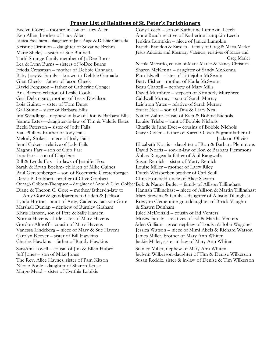#### Prayer List of Relatives of St. Peter's Parishioners

Ken Allen, brother of Lucy Allen Anne Beach-relative of Katherine Lumpkin-Leech Jessica Esselburn – daughter of Jane Auge & Debbie Cannada Jenkins Lumpkin – niece of Janice Lumpkin Kristine Drinnon – daughter of Suzanne Brehm Brandi, Brandi, Brandon & Rayden – family of Greg & Maria Marler Marie Sheley – sister of Sue Bunnell Jesús Antonio and Rosmary Valencia, relatives of Maria and Todd Strange-family member of JoDee Burns Greg Marler Greg Marler Lea & Lynn Burns – sisters of JoDee Burns Nicole Marruffo, cousin of Maria Marler & Nancy Christian Frieda Creasman – mother of Debbie Cannada Sharen McKenna – daughter of Sandy McKenna Baby Joey & Family – known to Debbie Cannada Pam Elwell – sister of Littlejohn McSwain Glen Cheek – father of Jason Cheek Betty Fisher – mother of Karla McSwain David Ferguson – father of Catherine Conger Beau Chattell – nephew of Mary Mills Ana Barreto-relation of Leslie Cook David Murphree – stepson of Kimberly Murphree Geri Delzingaro, mother of Terry Davidson Caldwell Murray – son of Sarah Murray Lois Guinto – sister of Tom Durst Leighton Yates – relative of Sarah Murray Gail Stone – sister of Barbara Ellis Stuart Neal – son of Tina & Larry Neal Jim Wendling – nephew-in-law of Don & Barbara Ellis Nancy Zahre-cousin of Rich & Bobbie Nichols Jeanne Estes—daughter-in-law of Tim & Valerie Estes Louise Triebe – aunt of Bobbie Nichols Becki Peterson – sister of Jody Fails Charlie & June Eyet – cousins of Bobbie Nichols Van Phillips-brother of Jody Fails Gary Olivier – father of Karen Olivier & grandfather of Melody Stokes – niece of Jody Fails Jackson Olivier Lars Farr – son of Chip Farr Abbas Rangwalla-father of Akil Rangwalla Bill & Lynda Fox – in-laws of Jennifer Fox Susan Remick – sister of Marty Remick Sarah & Bryan Boehm- children of Mike Gaines Louise Miller – mother of Larry Riley Paul Gerstenberger – son of Rosemarie Gerstenberger Dutch Weisberber-brother of Carl Scull Derek P. Gobbett- brother of Clive Gobbett Chris Horsfield-uncle of Alice Slayton Oonagh Gobbett-Thompsen – daughter of Anne & Clive Gobbet Bob & Nancy Butler – family of Allison Tillinghast Lynda Horton – aunt of Amy, Caden & Jackson Gore Rowynn Clementine-granddaughter of Brock Vaughn Marshall Dunlap – nephew of Burnley Graham & Shawn Dunham Khris Hansen, son of Pete & Sally Hansen Julee McDonald – cousin of Ed Venters Norma Havens – little sister of Marv Havens Moses Family – relatives of Ed & Martha Venters<br>Gordon Althoff – cousin of Marv Havens Aden Gilliam – great nephew of Louisa & John W Carolyn Keever – sister of Bill Hawkins James Miller, brother of Mary Ann Whiten Charles Hawkins – father of Randy Hawkins Jackie Miller, sister-in-law of Mary Ann Whiten SaraAnn Lovell – cousin of Jim & Ellen Huber Stanley Miller, nephew of Mary Ann Whiten Jeff Jones – son of Mike Jones Jaclynn Wilkerson-daughter of Tim & Denise Wilkerson Nicole Poole - daughter of Sharon Kruse Margo Mead – sister of Cynthia Lobikis

Evelyn Goers – mother-in-law of Lucy Allen Cody Leech – son of Katherine Lumpkin-Leech Jenni Coker – relative of Jody Fails Elizabeth Norris – daughter of Ron & Barbara Plemmons Magnus Farr – son of Chip Farr David Norris – son-in-law of Ron & Barbara Plemmons Diane & Theron C. Gore – mother/father-in-law to Hannah Tillinghast – niece of Allison & Martin Tillinghast Amy Gore & grandparents to Caden & Jackson Mary Stevens & family – daughter of Allison Tillinghast Aden Gilliam – great nephew of Louisa & John Wagoner Vanessa Lindeberg – niece of Marv & Sue Havens Jessica Watson – niece of Mimi Abels & Richard Watson

The Rev. Alice Haynes, sister of Pam Kitson Susan Reddix, sister & in-law of Denise & Tim Wilkerson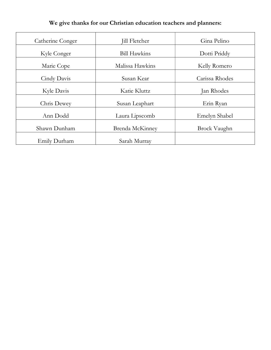| Catherine Conger | <b>Jill Fletcher</b> | Gina Pelino         |
|------------------|----------------------|---------------------|
| Kyle Conger      | <b>Bill Hawkins</b>  | Dotti Priddy        |
| Marie Cope       | Malissa Hawkins      | Kelly Romero        |
| Cindy Davis      | Susan Kear           | Carissa Rhodes      |
| Kyle Davis       | Katie Kluttz         | Jan Rhodes          |
| Chris Dewey      | Susan Leaphart       | Erin Ryan           |
| Ann Dodd         | Laura Lipscomb       | Emelyn Shabel       |
| Shawn Dunham     | Brenda McKinney      | <b>Brock Vaughn</b> |
| Emily Durham     | Sarah Murray         |                     |

We give thanks for our Christian education teachers and planners: